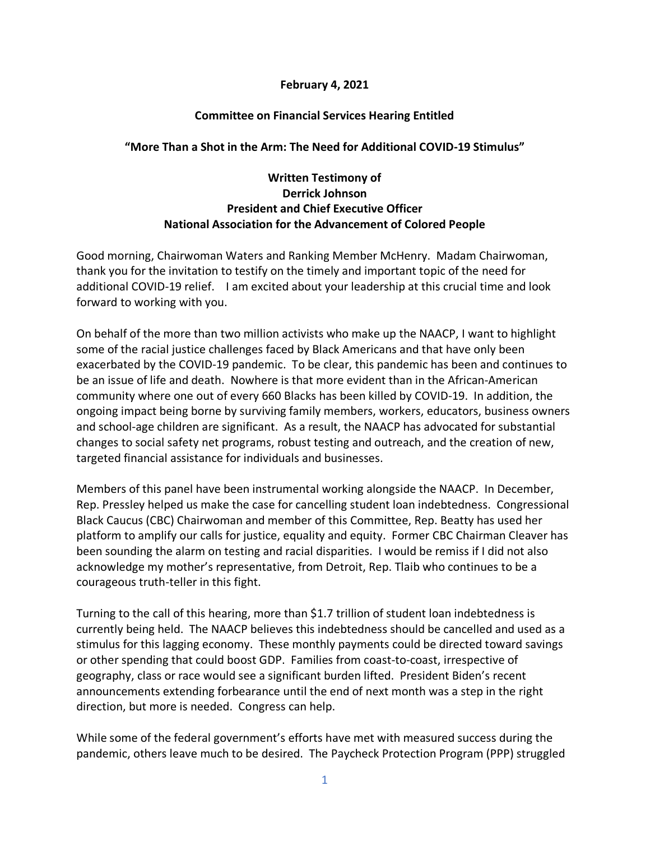## **February 4, 2021**

## **Committee on Financial Services Hearing Entitled**

## **"More Than a Shot in the Arm: The Need for Additional COVID-19 Stimulus"**

## **Written Testimony of Derrick Johnson President and Chief Executive Officer National Association for the Advancement of Colored People**

Good morning, Chairwoman Waters and Ranking Member McHenry. Madam Chairwoman, thank you for the invitation to testify on the timely and important topic of the need for additional COVID-19 relief. I am excited about your leadership at this crucial time and look forward to working with you.

On behalf of the more than two million activists who make up the NAACP, I want to highlight some of the racial justice challenges faced by Black Americans and that have only been exacerbated by the COVID-19 pandemic. To be clear, this pandemic has been and continues to be an issue of life and death. Nowhere is that more evident than in the African-American community where one out of every 660 Blacks has been killed by COVID-19. In addition, the ongoing impact being borne by surviving family members, workers, educators, business owners and school-age children are significant. As a result, the NAACP has advocated for substantial changes to social safety net programs, robust testing and outreach, and the creation of new, targeted financial assistance for individuals and businesses.

Members of this panel have been instrumental working alongside the NAACP. In December, Rep. Pressley helped us make the case for cancelling student loan indebtedness. Congressional Black Caucus (CBC) Chairwoman and member of this Committee, Rep. Beatty has used her platform to amplify our calls for justice, equality and equity. Former CBC Chairman Cleaver has been sounding the alarm on testing and racial disparities. I would be remiss if I did not also acknowledge my mother's representative, from Detroit, Rep. Tlaib who continues to be a courageous truth-teller in this fight.

Turning to the call of this hearing, more than \$1.7 trillion of student loan indebtedness is currently being held. The NAACP believes this indebtedness should be cancelled and used as a stimulus for this lagging economy. These monthly payments could be directed toward savings or other spending that could boost GDP. Families from coast-to-coast, irrespective of geography, class or race would see a significant burden lifted. President Biden's recent announcements extending forbearance until the end of next month was a step in the right direction, but more is needed. Congress can help.

While some of the federal government's efforts have met with measured success during the pandemic, others leave much to be desired. The Paycheck Protection Program (PPP) struggled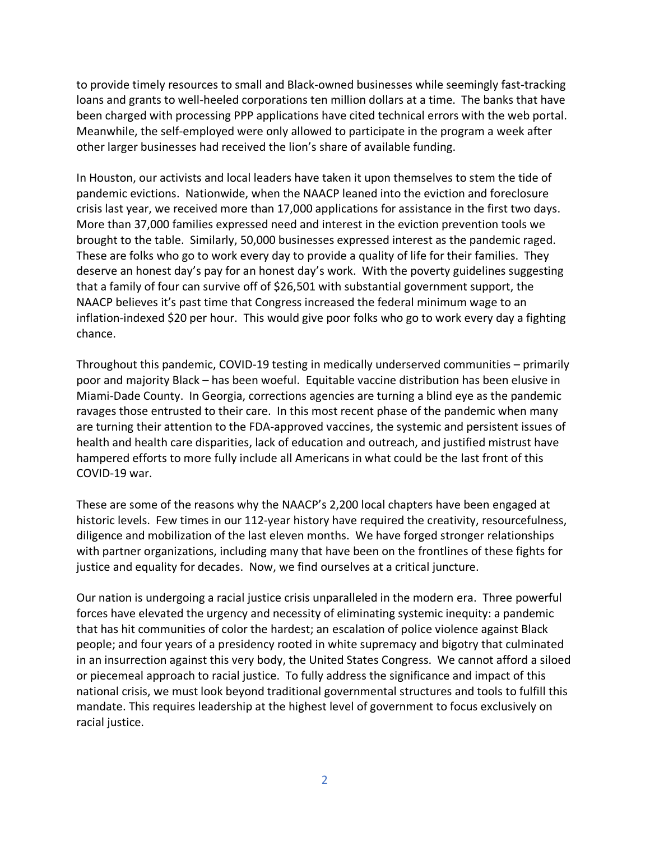to provide timely resources to small and Black-owned businesses while seemingly fast-tracking loans and grants to well-heeled corporations ten million dollars at a time. The banks that have been charged with processing PPP applications have cited technical errors with the web portal. Meanwhile, the self-employed were only allowed to participate in the program a week after other larger businesses had received the lion's share of available funding.

In Houston, our activists and local leaders have taken it upon themselves to stem the tide of pandemic evictions. Nationwide, when the NAACP leaned into the eviction and foreclosure crisis last year, we received more than 17,000 applications for assistance in the first two days. More than 37,000 families expressed need and interest in the eviction prevention tools we brought to the table. Similarly, 50,000 businesses expressed interest as the pandemic raged. These are folks who go to work every day to provide a quality of life for their families. They deserve an honest day's pay for an honest day's work. With the poverty guidelines suggesting that a family of four can survive off of \$26,501 with substantial government support, the NAACP believes it's past time that Congress increased the federal minimum wage to an inflation-indexed \$20 per hour. This would give poor folks who go to work every day a fighting chance.

Throughout this pandemic, COVID-19 testing in medically underserved communities – primarily poor and majority Black – has been woeful. Equitable vaccine distribution has been elusive in Miami-Dade County. In Georgia, corrections agencies are turning a blind eye as the pandemic ravages those entrusted to their care. In this most recent phase of the pandemic when many are turning their attention to the FDA-approved vaccines, the systemic and persistent issues of health and health care disparities, lack of education and outreach, and justified mistrust have hampered efforts to more fully include all Americans in what could be the last front of this COVID-19 war.

These are some of the reasons why the NAACP's 2,200 local chapters have been engaged at historic levels. Few times in our 112-year history have required the creativity, resourcefulness, diligence and mobilization of the last eleven months. We have forged stronger relationships with partner organizations, including many that have been on the frontlines of these fights for justice and equality for decades. Now, we find ourselves at a critical juncture.

Our nation is undergoing a racial justice crisis unparalleled in the modern era. Three powerful forces have elevated the urgency and necessity of eliminating systemic inequity: a pandemic that has hit communities of color the hardest; an escalation of police violence against Black people; and four years of a presidency rooted in white supremacy and bigotry that culminated in an insurrection against this very body, the United States Congress. We cannot afford a siloed or piecemeal approach to racial justice. To fully address the significance and impact of this national crisis, we must look beyond traditional governmental structures and tools to fulfill this mandate. This requires leadership at the highest level of government to focus exclusively on racial justice.